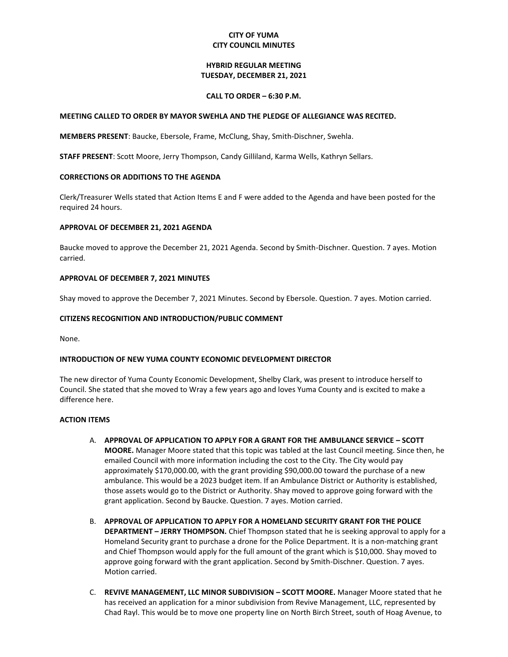## **CITY OF YUMA CITY COUNCIL MINUTES**

### **HYBRID REGULAR MEETING TUESDAY, DECEMBER 21, 2021**

### **CALL TO ORDER – 6:30 P.M.**

#### **MEETING CALLED TO ORDER BY MAYOR SWEHLA AND THE PLEDGE OF ALLEGIANCE WAS RECITED.**

**MEMBERS PRESENT**: Baucke, Ebersole, Frame, McClung, Shay, Smith-Dischner, Swehla.

**STAFF PRESENT**: Scott Moore, Jerry Thompson, Candy Gilliland, Karma Wells, Kathryn Sellars.

### **CORRECTIONS OR ADDITIONS TO THE AGENDA**

Clerk/Treasurer Wells stated that Action Items E and F were added to the Agenda and have been posted for the required 24 hours.

### **APPROVAL OF DECEMBER 21, 2021 AGENDA**

Baucke moved to approve the December 21, 2021 Agenda. Second by Smith-Dischner. Question. 7 ayes. Motion carried.

### **APPROVAL OF DECEMBER 7, 2021 MINUTES**

Shay moved to approve the December 7, 2021 Minutes. Second by Ebersole. Question. 7 ayes. Motion carried.

### **CITIZENS RECOGNITION AND INTRODUCTION/PUBLIC COMMENT**

None.

### **INTRODUCTION OF NEW YUMA COUNTY ECONOMIC DEVELOPMENT DIRECTOR**

The new director of Yuma County Economic Development, Shelby Clark, was present to introduce herself to Council. She stated that she moved to Wray a few years ago and loves Yuma County and is excited to make a difference here.

# **ACTION ITEMS**

- A. **APPROVAL OF APPLICATION TO APPLY FOR A GRANT FOR THE AMBULANCE SERVICE – SCOTT MOORE.** Manager Moore stated that this topic was tabled at the last Council meeting. Since then, he emailed Council with more information including the cost to the City. The City would pay approximately \$170,000.00, with the grant providing \$90,000.00 toward the purchase of a new ambulance. This would be a 2023 budget item. If an Ambulance District or Authority is established, those assets would go to the District or Authority. Shay moved to approve going forward with the grant application. Second by Baucke. Question. 7 ayes. Motion carried.
- B. **APPROVAL OF APPLICATION TO APPLY FOR A HOMELAND SECURITY GRANT FOR THE POLICE DEPARTMENT – JERRY THOMPSON.** Chief Thompson stated that he is seeking approval to apply for a Homeland Security grant to purchase a drone for the Police Department. It is a non-matching grant and Chief Thompson would apply for the full amount of the grant which is \$10,000. Shay moved to approve going forward with the grant application. Second by Smith-Dischner. Question. 7 ayes. Motion carried.
- C. **REVIVE MANAGEMENT, LLC MINOR SUBDIVISION – SCOTT MOORE.** Manager Moore stated that he has received an application for a minor subdivision from Revive Management, LLC, represented by Chad Rayl. This would be to move one property line on North Birch Street, south of Hoag Avenue, to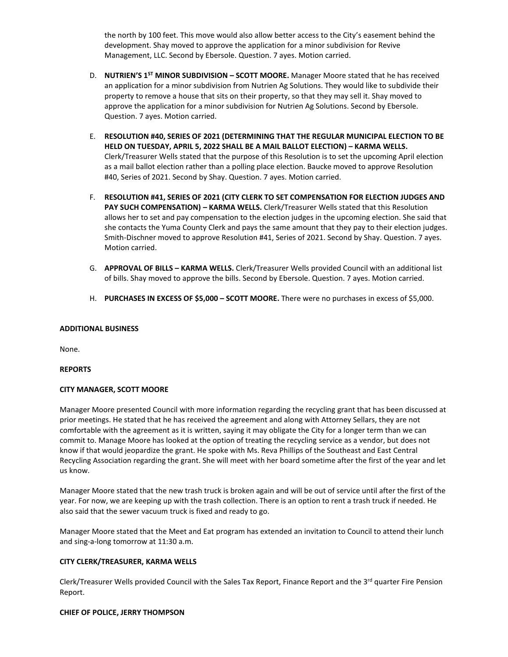the north by 100 feet. This move would also allow better access to the City's easement behind the development. Shay moved to approve the application for a minor subdivision for Revive Management, LLC. Second by Ebersole. Question. 7 ayes. Motion carried.

- D. **NUTRIEN'S 1ST MINOR SUBDIVISION – SCOTT MOORE.** Manager Moore stated that he has received an application for a minor subdivision from Nutrien Ag Solutions. They would like to subdivide their property to remove a house that sits on their property, so that they may sell it. Shay moved to approve the application for a minor subdivision for Nutrien Ag Solutions. Second by Ebersole. Question. 7 ayes. Motion carried.
- E. **RESOLUTION #40, SERIES OF 2021 (DETERMINING THAT THE REGULAR MUNICIPAL ELECTION TO BE HELD ON TUESDAY, APRIL 5, 2022 SHALL BE A MAIL BALLOT ELECTION) – KARMA WELLS.** Clerk/Treasurer Wells stated that the purpose of this Resolution is to set the upcoming April election as a mail ballot election rather than a polling place election. Baucke moved to approve Resolution #40, Series of 2021. Second by Shay. Question. 7 ayes. Motion carried.
- F. **RESOLUTION #41, SERIES OF 2021 (CITY CLERK TO SET COMPENSATION FOR ELECTION JUDGES AND PAY SUCH COMPENSATION) – KARMA WELLS.** Clerk/Treasurer Wells stated that this Resolution allows her to set and pay compensation to the election judges in the upcoming election. She said that she contacts the Yuma County Clerk and pays the same amount that they pay to their election judges. Smith-Dischner moved to approve Resolution #41, Series of 2021. Second by Shay. Question. 7 ayes. Motion carried.
- G. **APPROVAL OF BILLS – KARMA WELLS.** Clerk/Treasurer Wells provided Council with an additional list of bills. Shay moved to approve the bills. Second by Ebersole. Question. 7 ayes. Motion carried.
- H. **PURCHASES IN EXCESS OF \$5,000 – SCOTT MOORE.** There were no purchases in excess of \$5,000.

## **ADDITIONAL BUSINESS**

None.

## **REPORTS**

## **CITY MANAGER, SCOTT MOORE**

Manager Moore presented Council with more information regarding the recycling grant that has been discussed at prior meetings. He stated that he has received the agreement and along with Attorney Sellars, they are not comfortable with the agreement as it is written, saying it may obligate the City for a longer term than we can commit to. Manage Moore has looked at the option of treating the recycling service as a vendor, but does not know if that would jeopardize the grant. He spoke with Ms. Reva Phillips of the Southeast and East Central Recycling Association regarding the grant. She will meet with her board sometime after the first of the year and let us know.

Manager Moore stated that the new trash truck is broken again and will be out of service until after the first of the year. For now, we are keeping up with the trash collection. There is an option to rent a trash truck if needed. He also said that the sewer vacuum truck is fixed and ready to go.

Manager Moore stated that the Meet and Eat program has extended an invitation to Council to attend their lunch and sing-a-long tomorrow at 11:30 a.m.

### **CITY CLERK/TREASURER, KARMA WELLS**

Clerk/Treasurer Wells provided Council with the Sales Tax Report, Finance Report and the 3<sup>rd</sup> quarter Fire Pension Report.

### **CHIEF OF POLICE, JERRY THOMPSON**